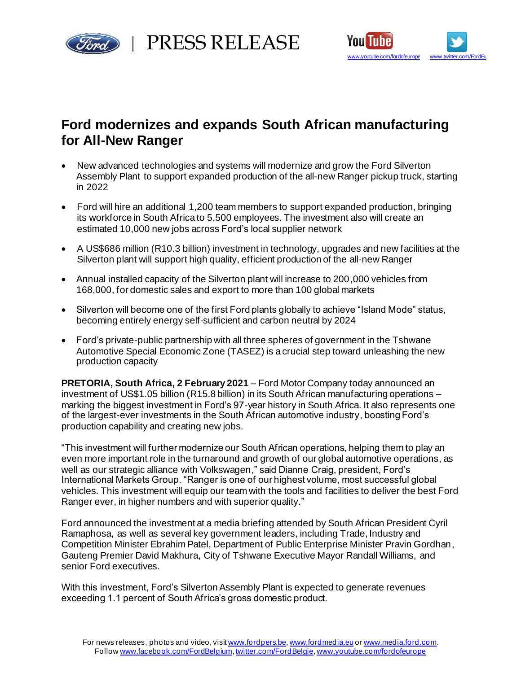

rd | PRESS RELEASE



# **Ford modernizes and expands South African manufacturing for All-New Ranger**

- New advanced technologies and systems will modernize and grow the Ford Silverton Assembly Plant to support expanded production of the all-new Ranger pickup truck, starting in 2022
- Ford will hire an additional 1,200 team members to support expanded production, bringing its workforce in South Africa to 5,500 employees. The investment also will create an estimated 10,000 new jobs across Ford's local supplier network
- A US\$686 million (R10.3 billion) investment in technology, upgrades and new facilities at the Silverton plant will support high quality, efficient production of the all-new Ranger
- Annual installed capacity of the Silverton plant will increase to 200,000 vehicles from 168,000, for domestic sales and export to more than 100 global markets
- Silverton will become one of the first Ford plants globally to achieve "Island Mode" status, becoming entirely energy self-sufficient and carbon neutral by 2024
- Ford's private-public partnership with all three spheres of government in the Tshwane Automotive Special Economic Zone (TASEZ) is a crucial step toward unleashing the new production capacity

**PRETORIA, South Africa, 2 February 2021** – Ford Motor Company today announced an investment of US\$1.05 billion (R15.8 billion) in its South African manufacturing operations – marking the biggest investment in Ford's 97-year history in South Africa. It also represents one of the largest-ever investments in the South African automotive industry, boosting Ford's production capability and creating new jobs.

"This investment will further modernize our South African operations, helping them to play an even more important role in the turnaround and growth of our global automotive operations, as well as our strategic alliance with Volkswagen," said Dianne Craig, president, Ford's International Markets Group. "Ranger is one of our highest volume, most successful global vehicles. This investment will equip our team with the tools and facilities to deliver the best Ford Ranger ever, in higher numbers and with superior quality."

Ford announced the investment at a media briefing attended by South African President Cyril Ramaphosa, as well as several key government leaders, including Trade, Industry and Competition Minister Ebrahim Patel, Department of Public Enterprise Minister Pravin Gordhan, Gauteng Premier David Makhura, City of Tshwane Executive Mayor Randall Williams, and senior Ford executives.

With this investment, Ford's Silverton Assembly Plant is expected to generate revenues exceeding 1.1 percent of South Africa's gross domestic product.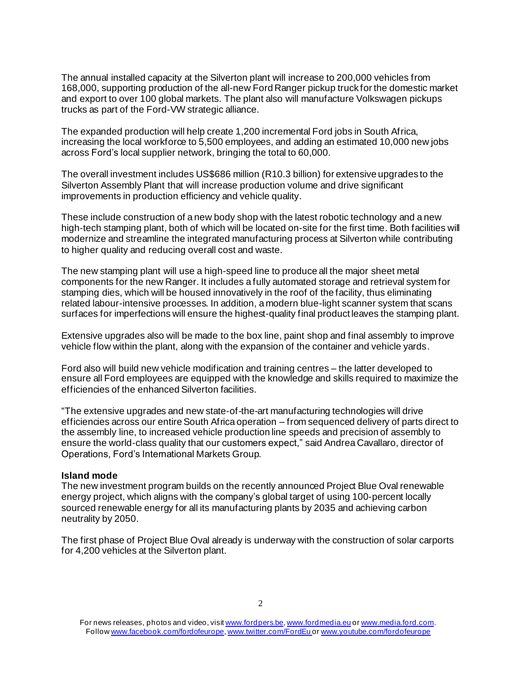The annual installed capacity at the Silverton plant will increase to 200,000 vehicles from 168,000, supporting production of the all-new Ford Ranger pickup truck for the domestic market and export to over 100 global markets. The plant also will manufacture Volkswagen pickups trucks as part of the Ford-VW strategic alliance.

The expanded production will help create 1,200 incremental Ford jobs in South Africa, increasing the local workforce to 5,500 employees, and adding an estimated 10,000 new jobs across Ford's local supplier network, bringing the total to 60,000.

The overall investment includes US\$686 million (R10.3 billion) for extensive upgrades to the Silverton Assembly Plant that will increase production volume and drive significant improvements in production efficiency and vehicle quality.

These include construction of a new body shop with the latest robotic technology and a new high-tech stamping plant, both of which will be located on-site for the first time. Both facilities will modernize and streamline the integrated manufacturing process at Silverton while contributing to higher quality and reducing overall cost and waste.

The new stamping plant will use a high-speed line to produce all the major sheet metal components for the new Ranger. It includes a fully automated storage and retrieval system for stamping dies, which will be housed innovatively in the roof of the facility, thus eliminating related labour-intensive processes. In addition, a modern blue-light scanner system that scans surfaces for imperfections will ensure the highest-quality final product leaves the stamping plant.

Extensive upgrades also will be made to the box line, paint shop and final assembly to improve vehicle flow within the plant, along with the expansion of the container and vehicle yards.

Ford also will build new vehicle modification and training centres – the latter developed to ensure all Ford employees are equipped with the knowledge and skills required to maximize the efficiencies of the enhanced Silverton facilities.

"The extensive upgrades and new state-of-the-art manufacturing technologies will drive efficiencies across our entire South Africa operation – from sequenced delivery of parts direct to the assembly line, to increased vehicle production line speeds and precision of assembly to ensure the world-class quality that our customers expect," said Andrea Cavallaro, director of Operations, Ford's International Markets Group.

## **Island mode**

The new investment program builds on the recently announced Project Blue Oval renewable energy project, which aligns with the company's global target of using 100-percent locally sourced renewable energy for all its manufacturing plants by 2035 and achieving carbon neutrality by 2050.

The first phase of Project Blue Oval already is underway with the construction of solar carports for 4,200 vehicles at the Silverton plant.

For news releases, photos and video, visi[t www.fordpers.be,](http://www.fordpers.be/) [www.fordmedia.eu](http://www.fordmedia.eu/) or [www.media.ford.com.](http://www.media.ford.com/) Follo[w www.facebook.com/fordofeurope](http://www.facebook.com/fordofeurope)[, www.twitter.com/FordEu](http://www.twitter.com/FordEu) o[r www.youtube.com/fordofeurope](http://www.youtube.com/fordofeurope)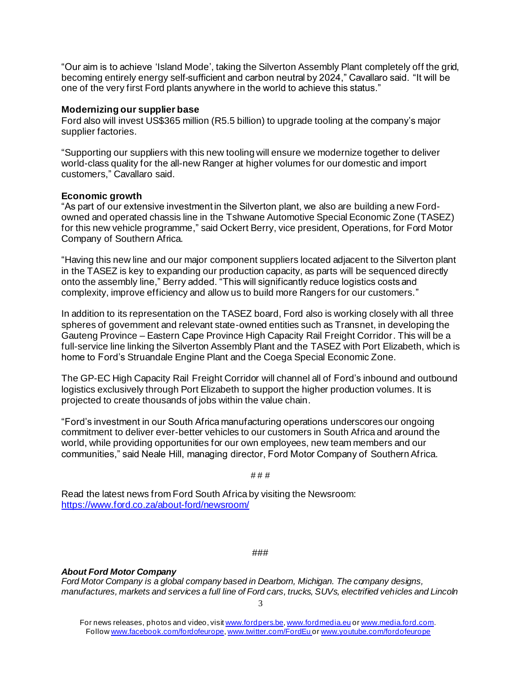"Our aim is to achieve 'Island Mode', taking the Silverton Assembly Plant completely off the grid, becoming entirely energy self-sufficient and carbon neutral by 2024," Cavallaro said. "It will be one of the very first Ford plants anywhere in the world to achieve this status."

## **Modernizing our supplier base**

Ford also will invest US\$365 million (R5.5 billion) to upgrade tooling at the company's major supplier factories.

"Supporting our suppliers with this new tooling will ensure we modernize together to deliver world-class quality for the all-new Ranger at higher volumes for our domestic and import customers," Cavallaro said.

## **Economic growth**

"As part of our extensive investment in the Silverton plant, we also are building a new Fordowned and operated chassis line in the Tshwane Automotive Special Economic Zone (TASEZ) for this new vehicle programme," said Ockert Berry, vice president, Operations, for Ford Motor Company of Southern Africa.

"Having this new line and our major component suppliers located adjacent to the Silverton plant in the TASEZ is key to expanding our production capacity, as parts will be sequenced directly onto the assembly line," Berry added. "This will significantly reduce logistics costs and complexity, improve efficiency and allow us to build more Rangers for our customers."

In addition to its representation on the TASEZ board, Ford also is working closely with all three spheres of government and relevant state-owned entities such as Transnet, in developing the Gauteng Province – Eastern Cape Province High Capacity Rail Freight Corridor. This will be a full-service line linking the Silverton Assembly Plant and the TASEZ with Port Elizabeth, which is home to Ford's Struandale Engine Plant and the Coega Special Economic Zone.

The GP-EC High Capacity Rail Freight Corridor will channel all of Ford's inbound and outbound logistics exclusively through Port Elizabeth to support the higher production volumes. It is projected to create thousands of jobs within the value chain.

"Ford's investment in our South Africa manufacturing operations underscores our ongoing commitment to deliver ever-better vehicles to our customers in South Africa and around the world, while providing opportunities for our own employees, new team members and our communities," said Neale Hill, managing director, Ford Motor Company of Southern Africa.

# # #

Read the latest news from Ford South Africa by visiting the Newsroom: <https://www.ford.co.za/about-ford/newsroom/>

#### ###

## *About Ford Motor Company*

*Ford Motor Company is a global company based in Dearborn, Michigan. The company designs, manufactures, markets and services a full line of Ford cars, trucks, SUVs, electrified vehicles and Lincoln* 

For news releases, photos and video, visi[t www.fordpers.be,](http://www.fordpers.be/) [www.fordmedia.eu](http://www.fordmedia.eu/) or [www.media.ford.com.](http://www.media.ford.com/) Follo[w www.facebook.com/fordofeurope](http://www.facebook.com/fordofeurope)[, www.twitter.com/FordEu](http://www.twitter.com/FordEu) o[r www.youtube.com/fordofeurope](http://www.youtube.com/fordofeurope)